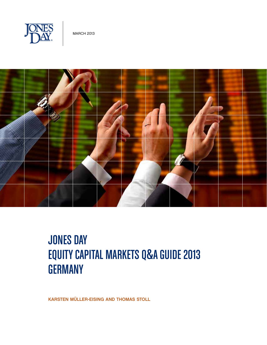



# **JONES DAY** equity capital markets Q&A GUIDE 2013 **GERMANY**

Karsten Müller-Eising and thomas stoll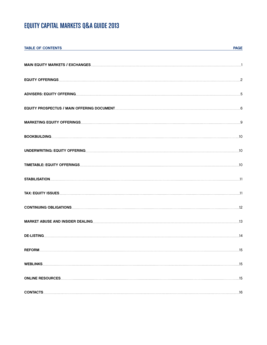# EQUITY CAPITAL MARKETS Q&A GUIDE 2013

| <b>TABLE OF CONTENTS</b> | <b>PAGE</b> |
|--------------------------|-------------|
|                          |             |
|                          |             |
|                          |             |
|                          |             |
|                          |             |
|                          |             |
|                          |             |
|                          |             |
|                          |             |
|                          |             |
|                          |             |
|                          |             |
|                          |             |
|                          |             |
|                          |             |
|                          |             |
|                          |             |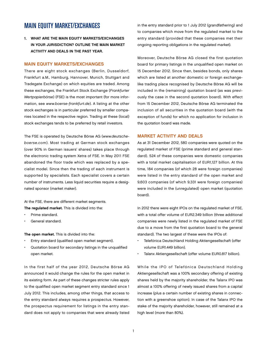# main equity market/exchanges

1. What are the main equity markets/exchanges in your jurisdiction? Outline the main market activity and deals in the past year.

#### Main equity markets/exchanges

There are eight stock exchanges (Berlin, Dusseldorf, Frankfurt a.M., Hamburg, Hannover, Munich, Stuttgart and Tradegate Exchange) on which equities are traded. Among these exchanges, the Frankfurt Stock Exchange (Frankfurter Wertpapierbörse) (FSE) is the most important (for more information, see www.boerse-frankfurt.de). A listing at the other stock exchanges is in particular preferred by smaller companies located in the respective region. Trading at these (local) stock exchanges tends to be preferred by retail investors.

The FSE is operated by Deutsche Börse AG (www.deutscheboerse.com). Most trading at German stock exchanges (over 90% in German issuers' shares) takes place through the electronic trading system Xetra of FSE. In May 2011 FSE abandoned the floor trade which was replaced by a specialist model. Since then the trading of each instrument is supported by specialists. Each specialist covers a certain number of instruments. Less liquid securities require a designated sponsor (market maker).

At the FSE, there are different market segments. The regulated market. This is divided into the:

- Prime standard.
- General standard.

The open market. This is divided into the:

- Entry standard (qualified open market segment).
- Quotation board for secondary listings in the unqualified open market.

In the first half of the year 2012, Deutsche Börse AG announced it would change the rules for the open market in its existing form. As part of these changes stricter rules apply to the qualified open market segment entry standard since 1 July 2012. This includes, among other things, that access to the entry standard always requires a prospectus. However, the prospectus requirement for listings in the entry standard does not apply to companies that were already listed in the entry standard prior to 1 July 2012 (grandfathering) and to companies which move from the regulated market to the entry standard (provided that these companies met their ongoing reporting obligations in the regulated market).

Moreover, Deutsche Börse AG closed the first quotation board for primary listings in the unqualified open market on 15 December 2012. Since then, besides bonds, only shares which are listed at another domestic or foreign exchangelike trading place recognised by Deutsche Börse AG will be included in the (remaining) quotation board (as was previously the case in the second quotation board). With effect from 15 December 2012, Deutsche Börse AG terminated the inclusion of all securities in the quotation board (with the exception of funds) for which no application for inclusion in the quotation board was made.

#### Market activity and deals

As at 31 December 2012, 580 companies were quoted on the regulated market of FSE (prime standard and general standard). 524 of these companies were domestic companies with a total market capitalisation of EUR1,127 billion. At this time, 184 companies (of which 28 were foreign companies) were listed in the entry standard of the open market and 9,603 companies (of which 9,331 were foreign companies) were included in the (unregulated) open market (quotation board).

In 2012 there were eight IPOs on the regulated market of FSE, with a total offer volume of EUR2.349 billion (three additional companies were newly listed in the regulated market of FSE due to a move from the first quotation board to the general standard). The two largest of these were the IPOs of:

- Telefónica Deutschland Holding Aktiengesellschaft (offer volume EUR1.449 billion).
- Talanx Aktiengesellschaft (offer volume EUR0.817 billion).

While the IPO of Telefónica Deutschland Holding Aktiengesellschaft was a 100% secondary offering of existing shares held by the majority shareholder, the Talanx IPO was almost a 100% offering of newly issued shares from a capital increase (plus a certain number of existing shares in connection with a greenshoe option). In case of the Talanx IPO the stake of the majority shareholder, however, still remained at a high level (more than 80%).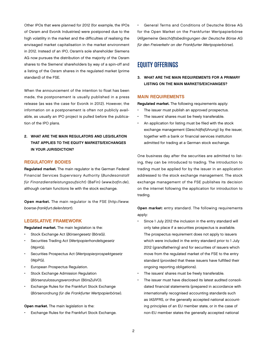Other IPOs that were planned for 2012 (for example, the IPOs of Osram and Evonik Industries) were postponed due to the high volatility in the market and the difficulties of realising the envisaged market capitalisation in the market environment in 2012. Instead of an IPO, Osram's sole shareholder Siemens AG now pursues the distribution of the majority of the Osram shares to the Siemens' shareholders by way of a spin-off and a listing of the Osram shares in the regulated market (prime standard) of the FSE.

When the announcement of the intention to float has been made, the postponement is usually published in a press release (as was the case for Evonik in 2012). However, the information on a postponement is often not publicly available, as usually an IPO project is pulled before the publication of the IPO plans.

## 2. What are the main regulators and legislation that applies to the equity markets/exchanges in your jurisdiction?

#### Regulatory bodies

Regulated market. The main regulator is the German Federal Financial Services Supervisory Authority (Bundesanstalt für Finanzdienstleistungsaufsicht) (BaFin) (www.bafin.de), although certain functions lie with the stock exchange.

Open market. The main regulator is the FSE (http://www. boerse-frankfurt.de/en/start).

#### Legislative framework

Regulated market. The main legislation is the:

- Stock Exchange Act (Börsengesetz (BörsG).
- Securities Trading Act (Wertpapierhandelsgesetz (WpHG).
- Securities Prospectus Act (Wertpapierprospektgesetz (WpPG).
- European Prospectus Regulation.
- Stock Exchange Admission Regulation (Börsenzulassungsverordnun (BörsZulVO).
- Exchange Rules for the Frankfurt Stock Exchange (Börsenordnung für die Frankfurter Wertpapierbörse).

#### Open market. The main legislation is the:

Exchange Rules for the Frankfurt Stock Exchange.

• General Terms and Conditions of Deutsche Börse AG for the Open Market on the Frankfurter Wertpapierbörse (Allgemeine Geschäftsbedingungen der Deutsche Börse AG für den Freiverkehr an der Frankfurter Wertpapierbörse).

# Equity Offerings

3. What are the main requirements for a primary listing on the main markets/exchanges?

#### Main requirements

Regulated market. The following requirements apply:

- The issuer must publish an approved prospectus.
- The issuers' shares must be freely transferable.
- An application for listing must be filed with the stock exchange management (Geschäftsführung) by the issuer, together with a bank or financial services institution admitted for trading at a German stock exchange.

One business day after the securities are admitted to listing, they can be introduced to trading. The introduction to trading must be applied for by the issuer in an application addressed to the stock exchange management. The stock exchange management of the FSE publishes its decision on the internet following the application for introduction to trading.

Open market: entry standard. The following requirements apply:

- Since 1 July 2012 the inclusion in the entry standard will only take place if a securities prospectus is available. The prospectus requirement does not apply to issuers which were included in the entry standard prior to 1 July 2012 (grandfathering) and for securities of issuers which move from the regulated market of the FSE to the entry standard (provided that these issuers have fulfilled their ongoing reporting obligations).
- The issuers' shares must be freely transferable.
- The issuer must have disclosed its latest audited consolidated financial statements (prepared in accordance with internationally recognised accounting standards such as IAS/IFRS, or the generally accepted national accounting principles of an EU member state, or in the case of non-EU member states the generally accepted national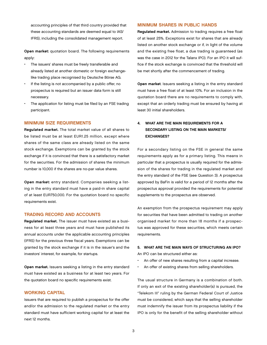accounting principles of that third country provided that these accounting standards are deemed equal to IAS/ IFRS), including the consolidated management report.

Open market: quotation board. The following requirements apply:

- The issuers' shares must be freely transferable and already listed at another domestic or foreign exchangelike trading place recognised by Deutsche Börse AG.
- If the listing is not accompanied by a public offer, no prospectus is required but an issuer data form is still necessary.
- The application for listing must be filed by an FSE trading participant.

#### **MINIMUM SIZE REQUIREMENTS**

Regulated market. The total market value of all shares to be listed must be at least EUR1.25 million, except where shares of the same class are already listed on the same stock exchange. Exemptions can be granted by the stock exchange if it is convinced that there is a satisfactory market for the securities. For the admission of shares the minimum number is 10,000 if the shares are no-par value shares.

Open market: entry standard. Companies seeking a listing in the entry standard must have a paid-in share capital of at least EUR750,000. For the quotation board no specific requirements exist.

#### Trading record and accounts

Regulated market. The issuer must have existed as a business for at least three years and must have published its annual accounts under the applicable accounting principles (IFRS) for the previous three fiscal years. Exemptions can be granted by the stock exchange if it is in the issuer's and the investors' interest, for example, for startups.

Open market. Issuers seeking a listing in the entry standard must have existed as a business for at least two years. For the quotation board no specific requirements exist.

#### WORKING CAPITAL

Issuers that are required to publish a prospectus for the offer and/or the admission to the regulated market or the entry standard must have sufficient working capital for at least the next 12 months.

#### Minimum shares in public hands

Regulated market. Admission to trading requires a free float of at least 25%. Exceptions exist for shares that are already listed on another stock exchange or if, in light of the volume and the existing free float, a due trading is guaranteed (as was the case in 2012 for the Talanx IPO). For an IPO it will suffice if the stock exchange is convinced that the threshold will be met shortly after the commencement of trading.

Open market. Issuers seeking a listing in the entry standard must have a free float of at least 10%. For an inclusion in the quotation board there are no requirements to comply with, except that an orderly trading must be ensured by having at least 30 initial shareholders.

## 4. What are the main requirements for a secondary listing on the main markets/ exchanges?

For a secondary listing on the FSE in general the same requirements apply as for a primary listing. This means in particular that a prospectus is usually required for the admission of the shares for trading in the regulated market and the entry standard of the FSE (see Question 3). A prospectus approved by BaFin is valid for a period of 12 months after the prospectus approval provided the requirements for potential supplements to the prospectus are observed.

An exemption from the prospectus requirement may apply for securities that have been admitted to trading on another organised market for more than 18 months if a prospectus was approved for these securities, which meets certain requirements.

#### 5. What are the main ways of structuring an IPO? An IPO can be structured either as:

- An offer of new shares resulting from a capital increase.
- An offer of existing shares from selling shareholders.

The usual structure in Germany is a combination of both. If only an exit of the existing shareholder(s) is pursued, the "Telekom III" ruling by the German Federal Court of Justice must be considered, which says that the selling shareholder must indemnify the issuer from its prospectus liability if the IPO is only for the benefit of the selling shareholder without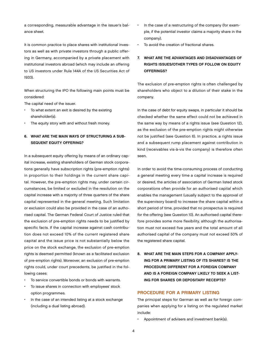a corresponding, measurable advantage in the issuer's balance sheet.

It is common practice to place shares with institutional investors as well as with private investors through a public offering in Germany, accompanied by a private placement with institutional investors abroad (which may include an offering to US investors under Rule 144A of the US Securities Act of 1933).

When structuring the IPO the following main points must be considered:

The capital need of the issuer.

- To what extent an exit is desired by the existing shareholder(s).
- The equity story with and without fresh money.
- 6. What are the main ways of structuring a sub-SEQUENT EQUITY OFFERING?

In a subsequent equity offering by means of an ordinary capital increase, existing shareholders of German stock corporations generally have subscription rights (pre-emption rights) in proportion to their holdings in the current share capital. However, the pre-emption rights may, under certain circumstances, be limited or excluded in the resolution on the capital increase with a majority of three quarters of the share capital represented in the general meeting. Such limitation or exclusion could also be provided in the case of an authorised capital. The German Federal Court of Justice ruled that the exclusion of pre-emption rights needs to be justified by specific facts. If the capital increase against cash contribution does not exceed 10% of the current registered share capital and the issue price is not substantially below the price on the stock exchange, the exclusion of pre-emption rights is deemed permitted (known as a facilitated exclusion of pre-emption rights). Moreover, an exclusion of pre-emption rights could, under court precedents, be justified in the following cases:

- To service convertible bonds or bonds with warrants.
- To issue shares in connection with employees' stock option programmes.
- In the case of an intended listing at a stock exchange (including a dual listing abroad).
- In the case of a restructuring of the company (for example, if the potential investor claims a majority share in the company).
- To avoid the creation of fractional shares.
- 7. What are the advantages and disadvantages of rights issues/other types of follow on equity offerings?

The exclusion of pre-emption rights is often challenged by shareholders who object to a dilution of their stake in the company.

In the case of debt for equity swaps, in particular it should be checked whether the same effect could not be achieved in the same way by means of a rights issue (see Question 12), as the exclusion of the pre-emption rights might otherwise not be justified (see Question 6). In practice, a rights issue and a subsequent rump placement against contribution in kind (receivables vis-à-vis the company) is therefore often seen.

In order to avoid the time-consuming process of conducting a general meeting every time a capital increase is required or desired, the articles of association of German listed stock corporations often provide for an authorised capital which enables the management (usually subject to the approval of the supervisory board) to increase the share capital within a short period of time, provided that no prospectus is required for the offering (see Question 10). An authorised capital therefore provides some more flexibility, although the authorisation must not exceed five years and the total amount of all authorised capital of the company must not exceed 50% of the registered share capital.

8. What are the main steps for a company applying for a primary listing of its shares? Is the procedure different for a foreign company and is a foreign company likely to seek a listing for shares or depositary receipts?

#### PROCEDURE FOR A PRIMARY LISTING

The principal steps for German as well as for foreign companies when applying for a listing on the regulated market include:

Appointment of advisers and investment bank(s).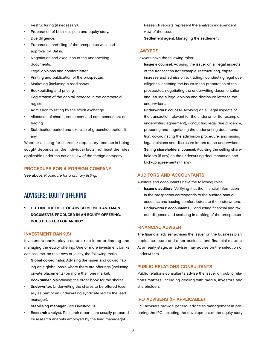- Restructuring (if necessary).
- Preparation of business plan and equity story.
- Due diligence.
- Preparation and filing of the prospectus with, and approval by, BaFin.
- Negotiation and execution of the underwriting documents.
- Legal opinions and comfort letter.
- Printing and publication of the prospectus.
- Marketing (including a road show).
- Bookbuilding and pricing.
- Registration of the capital increase in the commercial register.
- Admission to listing by the stock exchange.
- Allocation of shares, settlement and commencement of trading.
- Stabilisation period and exercise of greenshoe option, if any.

Whether a listing for shares or depositary receipts is being sought depends on the individual facts, not least the rules applicable under the national law of the foreign company.

### Procedure for a foreign company

See above, Procedure for a primary listing.

# Advisers: Equity Offering

9. Outline the role of advisers used and main documents produced in an equity offering. Does it differ for an IPO?

#### Investment bank(s)

Investment banks play a central role in co-ordinating and managing the equity offering. One or more investment banks can assume, on their own or jointly, the following tasks:

- Global co-ordinator. Advising the issuer and co-ordinating on a global basis where there are offerings (including private placements) on more than one market.
- Bookrunner. Maintaining the order book for the shares.
- Underwriter. Underwriting the shares to be offered (usually as part of an underwriting syndicate led by the lead manager).
- Stabilising manager. See Question 19.
- Research analyst. Research reports are usually prepared by research analysts employed by the lead manager(s).
- Research reports represent the analyst's independent view of the issuer.
- Settlement agent. Managing the settlement.

#### **LAWYERS**

Lawyers have the following roles:

- **Issuer's counsel.** Advising the issuer on all legal aspects of the transaction (for example, restructuring, capital increase and admission to trading), conducting legal due diligence, assisting the issuer in the preparation of the prospectus, negotiating the underwriting documentation and issuing a legal opinion and disclosure letter to the underwriters.
- Underwriters' counsel. Advising on all legal aspects of the transaction relevant for the underwriter (for example, underwriting agreement), conducting legal due diligence, preparing and negotiating the underwriting documentation, co-ordinating the admission procedure, and issuing legal opinions and disclosure letters to the underwriters.
- Selling shareholders' counsel. Advising the selling shareholders (if any) on the underwriting documentation and lock-up agreements (if any).

### Auditors and accountants

Auditors and accountants have the following roles:

- **Issuer's auditors.** Verifying that the financial information in the prospectus corresponds to the audited annual accounts and issuing comfort letters to the underwriters.
- Underwriters' accountants. Conducting financial and tax due diligence and assisting in drafting of the prospectus.

#### Financial adviser

The financial adviser advises the issuer on the business plan, capital structure and other business and financial matters. At an early stage, an adviser may advise on the selection of underwriters.

#### Public relations consultants

Public relations consultants advise the issuer on public relations matters, including dealing with media, investors and shareholders.

#### IPO advisers (if applicable)

IPO advisers provide general advice to management in preparing the IPO including the development of the equity story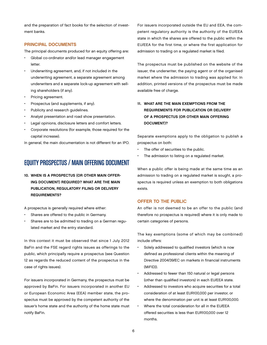and the preparation of fact books for the selection of investment banks.

#### PRINCIPAL DOCUMENTS

The principal documents produced for an equity offering are:

- Global co-ordinator and/or lead manager engagement letter.
- Underwriting agreement, and, if not included in the underwriting agreement, a separate agreement among underwriters and a separate lock-up agreement with selling shareholders (if any).
- Pricing agreement.
- Prospectus (and supplements, if any).
- Publicity and research guidelines.
- Analyst presentation and road show presentation.
- Legal opinions, disclosure letters and comfort letters.
- Corporate resolutions (for example, those required for the capital increase).

In general, the main documentation is not different for an IPO.

# EQUITY PROSPECTUS / MAIN OFFERING DOCUMENT

10. When is a prospectus (or other main offering document) required? What are the main publication, regulatory filing or delivery requirements?

A prospectus is generally required where either:

- Shares are offered to the public in Germany.
- Shares are to be admitted to trading on a German regulated market and the entry standard.

In this context it must be observed that since 1 July 2012 BaFin and the FSE regard rights issues as offerings to the public, which principally require a prospectus (see Question 12 as regards the reduced content of the prospectus in the case of rights issues).

For issuers incorporated in Germany, the prospectus must be approved by BaFin. For issuers incorporated in another EU or European Economic Area (EEA) member state, the prospectus must be approved by the competent authority of the issuer's home state and the authority of the home state must notify BaFin.

For issuers incorporated outside the EU and EEA, the competent regulatory authority is the authority of the EU/EEA state in which the shares are offered to the public within the EU/EEA for the first time, or where the first application for admission to trading on a regulated market is filed.

The prospectus must be published on the website of the issuer, the underwriter, the paying agent or of the organised market where the admission to trading was applied for. In addition, printed versions of the prospectus must be made available free of charge.

### 11. What are the main exemptions from the requirements for publication or delivery of a prospectus (or other main offering document)?

Separate exemptions apply to the obligation to publish a prospectus on both:

- The offer of securities to the public.
- The admission to listing on a regulated market.

When a public offer is being made at the same time as an admission to trading on a regulated market is sought, a prospectus is required unless an exemption to both obligations exists.

#### Offer to the public

An offer is not deemed to be an offer to the public (and therefore no prospectus is required) where it is only made to certain categories of persons.

The key exemptions (some of which may be combined) include offers:

- Solely addressed to qualified investors (which is now defined as professional clients within the meaning of Directive 2004/39/EC on markets in financial instruments (MiFID)).
- Addressed to fewer than 150 natural or legal persons (other than qualified investors) in each EU/EEA state.
- Addressed to investors who acquire securities for a total consideration of at least EUR100,000 per investor, or where the denomination per unit is at least EUR100,000.
- Where the total consideration for all in the EU/EEA offered securities is less than EUR100,000 over 12 months.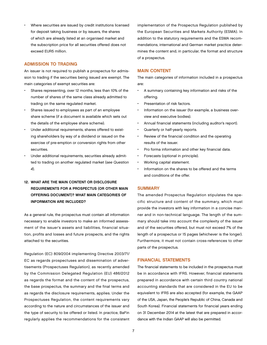Where securities are issued by credit institutions licensed for deposit taking business or by issuers, the shares of which are already listed at an organised market and the subscription price for all securities offered does not exceed EUR5 million.

#### Admission to trading

An issuer is not required to publish a prospectus for admission to trading if the securities being issued are exempt. The main categories of exempt securities are:

- Shares representing, over 12 months, less than 10% of the number of shares of the same class already admitted to trading on the same regulated market.
- Shares issued to employees as part of an employee share scheme (if a document is available which sets out the details of the employee share scheme).
- Under additional requirements, shares offered to existing shareholders by way of a dividend or issued on the exercise of pre-emption or conversion rights from other securities.
- Under additional requirements, securities already admitted to trading on another regulated market (see Question 4).

### 12. What are the main content or disclosure requirements for a prospectus (or other main offering document)? What main categories of information are included?

As a general rule, the prospectus must contain all information necessary to enable investors to make an informed assessment of the issuer's assets and liabilities, financial situation, profits and losses and future prospects, and the rights attached to the securities.

Regulation (EC) 809/2004 implementing Directive 2003/71/ EC as regards prospectuses and dissemination of advertisements (Prospectuses Regulation), as recently amended by the Commission Delegated Regulation (EU) 486/2012 as regards the format and the content of the prospectus, the base prospectus, the summary and the final terms and as regards the disclosure requirements, applies. Under the Prospectuses Regulation, the content requirements vary according to the nature and circumstances of the issuer and the type of security to be offered or listed. In practice, BaFin regularly applies the recommendations for the consistent

implementation of the Prospectus Regulation published by the European Securities and Markets Authority (ESMA). In addition to the statutory requirements and the ESMA recommendations, international and German market practice determines the content and, in particular, the format and structure of a prospectus.

#### Main content

The main categories of information included in a prospectus are:

- A summary containing key information and risks of the offering.
- Presentation of risk factors.
- Information on the issuer (for example, a business overview and executive bodies).
- Annual financial statements (including auditor's report).
- Quarterly or half-yearly reports.
- Review of the financial condition and the operating results of the issuer.
- Pro forma information and other key financial data.
- Forecasts (optional in principle).
- Working capital statement.
- Information on the shares to be offered and the terms and conditions of the offer.

#### **SUMMARY**

The amended Prospectus Regulation stipulates the specific structure and content of the summary, which must provide the investors with key information in a concise manner and in non-technical language. The length of the summary should take into account the complexity of the issuer and of the securities offered, but must not exceed 7% of the length of a prospectus or 15 pages (whichever is the longer). Furthermore, it must not contain cross-references to other parts of the prospectus.

#### Financial statements

The financial statements to be included in the prospectus must be in accordance with IFRS. However, financial statements prepared in accordance with certain third country national accounting standards that are considered in the EU to be equivalent to IFRS are also accepted (for example, the GAAP of the USA, Japan, the People's Republic of China, Canada and South Korea). Financial statements for financial years ending on 31 December 2014 at the latest that are prepared in accordance with the Indian GAAP will also be permitted.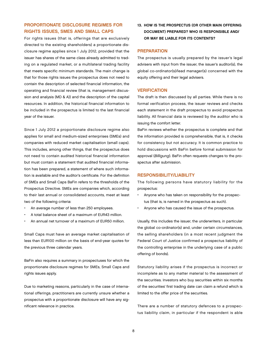## Proportionate disclosure regimes for rights issues, SMEs and Small Caps

For rights issues (that is, offerings that are exclusively directed to the existing shareholders) a proportionate disclosure regime applies since 1 July 2012, provided that the issuer has shares of the same class already admitted to trading on a regulated market, or a multilateral trading facility that meets specific minimum standards. The main change is that for those rights issues the prospectus does not need to contain the description of selected financial information, the operating and financial review (that is, management discussion and analysis (MD & A)) and the description of the capital resources. In addition, the historical financial information to be included in the prospectus is limited to the last financial year of the issuer.

Since 1 July 2012 a proportionate disclosure regime also applies for small and medium-sized enterprises (SMEs) and companies with reduced market capitalisation (small caps). This includes, among other things, that the prospectus does not need to contain audited historical financial information but must contain a statement that audited financial information has been prepared, a statement of where such information is available and the auditor's certificate. For the definition of SMEs and Small Caps BaFin refers to the thresholds of the Prospectus Directive. SMEs are companies which, according to their last annual or consolidated accounts, meet at least two of the following criteria:

- An average number of less than 250 employees.
- A total balance sheet of a maximum of EUR43 million.
- An annual net turnover of a maximum of EUR50 million.

Small Caps must have an average market capitalisation of less than EUR100 million on the basis of end-year quotes for the previous three calendar years.

BaFin also requires a summary in prospectuses for which the proportionate disclosure regimes for SMEs, Small Caps and rights issues apply.

Due to marketing reasons, particularly in the case of international offerings, practitioners are currently unsure whether a prospectus with a proportionate disclosure will have any significant relevance in practice.

13. How is the prospectus (or other main offering document) prepared? Who is responsible and/ or may be liable for its contents?

#### **PREPARATION**

The prospectus is usually prepared by the issuer's legal advisers with input from the issuer, the issuer's auditor(s), the global co-ordinator(s)/lead manager(s) concerned with the equity offering and their legal advisers.

#### **VERIFICATION**

The draft is then discussed by all parties. While there is no formal verification process, the issuer reviews and checks each statement in the draft prospectus to avoid prospectus liability. All financial data is reviewed by the auditor who is issuing the comfort letter.

BaFin reviews whether the prospectus is complete and that the information provided is comprehensible, that is, it checks for consistency but not accuracy. It is common practice to hold discussions with BaFin before formal submission for approval (Billigung). BaFin often requests changes to the prospectus after submission.

#### Responsibility/liability

The following persons have statutory liability for the prospectus:

- Anyone who has taken on responsibility for the prospectus (that is, is named in the prospectus as such).
- Anyone who has caused the issue of the prospectus.

Usually, this includes the issuer, the underwriters, in particular the global co-ordinator(s) and, under certain circumstances, the selling shareholders (in a most recent judgment the Federal Court of Justice confirmed a prospectus liability of the controlling enterprise in the underlying case of a public offering of bonds).

Statutory liability arises if the prospectus is incorrect or incomplete as to any matter material to the assessment of the securities. Investors who buy securities within six months of the securities' first trading date can claim a refund which is limited to the offer price of the securities.

There are a number of statutory defences to a prospectus liability claim, in particular if the respondent is able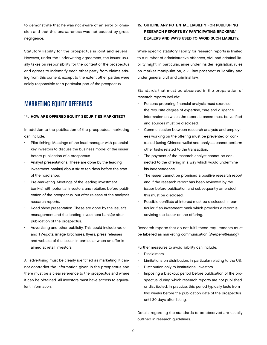to demonstrate that he was not aware of an error or omission and that this unawareness was not caused by gross negligence.

Statutory liability for the prospectus is joint and several. However, under the underwriting agreement, the issuer usually takes on responsibility for the content of the prospectus and agrees to indemnify each other party from claims arising from this content, except to the extent other parties were solely responsible for a particular part of the prospectus.

# **MARKETING EQUITY OFFERINGS**

#### 14. How are offered equity securities marketed?

In addition to the publication of the prospectus, marketing can include:

- Pilot fishing. Meetings of the lead manager with potential key investors to discuss the business model of the issuer before publication of a prospectus.
- Analyst presentations. These are done by the leading investment bank(s) about six to ten days before the start of the road show.
- Pre-marketing. Meetings of the leading investment bank(s) with potential investors and retailers before publication of the prospectus, but after release of the analyst's research reports.
- Road show presentation. These are done by the issuer's management and the leading investment bank(s) after publication of the prospectus.
- Advertising and other publicity. This could include radio and TV-spots, image brochures, flyers, press releases and website of the issuer, in particular when an offer is aimed at retail investors.

All advertising must be clearly identified as marketing. It cannot contradict the information given in the prospectus and there must be a clear reference to the prospectus and where it can be obtained. All investors must have access to equivalent information.

### 15. Outline any potential liability for publishing research reports by participating brokers/ dealers and ways used to avoid such liability.

While specific statutory liability for research reports is limited to a number of administrative offences, civil and criminal liability might, in particular, arise under insider legislation, rules on market manipulation, civil law prospectus liability and under general civil and criminal law.

Standards that must be observed in the preparation of research reports include:

- Persons preparing financial analysis must exercise the requisite degree of expertise, care and diligence. Information on which the report is based must be verified and sources must be disclosed.
- Communication between research analysts and employees working on the offering must be prevented or controlled (using Chinese walls) and analysts cannot perform other tasks related to the transaction.
- The payment of the research analyst cannot be connected to the offering in a way which would undermine his independence.
- The issuer cannot be promised a positive research report and if the research report has been reviewed by the issuer before publication and subsequently amended, this must be disclosed.
- Possible conflicts of interest must be disclosed, in particular if an investment bank which provides a report is advising the issuer on the offering.

Research reports that do not fulfil these requirements must be labelled as marketing communication (Werbemitteilung).

Further measures to avoid liability can include:

- Disclaimers.
- Limitations on distribution, in particular relating to the US.
- Distribution only to institutional investors.
- Imposing a blackout period before publication of the prospectus, during which research reports are not published or distributed. In practice, this period typically lasts from two weeks before the publication date of the prospectus until 30 days after listing.

Details regarding the standards to be observed are usually outlined in research guidelines.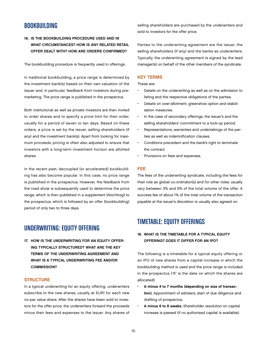# **BOOKBUILDING**

### 16. Is the bookbuilding procedure used and in WHAT CIRCUMSTANCES? HOW IS ANY RELATED RETAIL offer dealt with? How are orders confirmed?

The bookbuilding procedure is frequently used in offerings.

In traditional bookbuilding, a price range is determined by the investment bank(s) based on their own valuation of the issuer and, in particular, feedback from investors during premarketing. The price range is published in the prospectus.

Both institutional as well as private investors are then invited to order shares and to specify a price limit for their order, usually for a period of seven to ten days. Based on these orders, a price is set by the issuer, selling shareholders (if any) and the investment bank(s). Apart from looking for maximum proceeds, pricing is often also adjusted to ensure that investors with a long-term investment horizon are allotted shares.

In the recent past, decoupled (or accelerated) bookbuilding has also become popular. In this case, no price range is published in the prospectus. However, the feedback from the road show is subsequently used to determine the price range, which is then published in a supplement (Nachtrag) to the prospectus, which is followed by an offer (bookbuilding) period of only two to three days.

# Underwriting: Equity Offering

17. HOW IS THE UNDERWRITING FOR AN EQUITY OFFERing typically structured? What are the key terms of the underwriting agreement and WHAT IS A TYPICAL UNDERWRITING FEE AND/OR commission?

#### **STRUCTURE**

In a typical underwriting for an equity offering, underwriters subscribe to the new shares, usually at EUR1 for each new no-par value share. After the shares have been sold to investors for the offer price, the underwriters forward the proceeds minus their fees and expenses to the issuer. Any shares of selling shareholders are purchased by the underwriters and sold to investors for the offer price.

Parties to the underwriting agreement are the issuer, the selling shareholders (if any) and the banks as underwriters. Typically, the underwriting agreement is signed by the lead manager(s) on behalf of the other members of the syndicate.

#### Key terms

These are:

- Details on the underwriting as well as on the admission to listing and the respective obligations of the parties.
- Details on over-allotment, greenshoe option and stabilisation measures.
- In the case of secondary offerings, the issuer's and the selling shareholders' commitment to a lock-up period.
- Representations, warranties and undertakings of the parties as well as indemnification clauses.
- Conditions precedent and the bank's right to terminate the contract.
- Provisions on fees and expenses.

#### Fee

The fees of the underwriting syndicate, including the fees for their role as global co-ordinator(s) and for other roles, usually vary between 3% and 5% of the total volume of the offer. A success fee of about 1% of the total volume of the transaction payable at the issuer's discretion is usually also agreed on.

# Timetable: Equity Offerings

### 18. WHAT IS THE TIMETABLE FOR A TYPICAL EQUITY offering? Does it differ for an IPO?

The following is a timetable for a typical equity offering or an IPO of new shares from a capital increase in which the bookbuilding method is used and the price range is included in the prospectus ("A" is the date on which the shares are allocated):

- A minus 4 to 7 months (depending on size of transaction). Appointment of advisers, start of due diligence and drafting of prospectus.
- A minus 6 to 8 weeks. Shareholder resolution on capital increase is passed (if no authorised capital is available).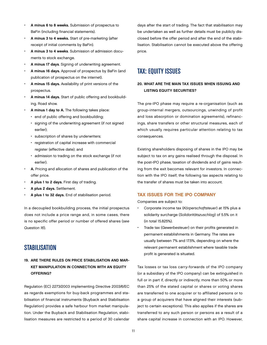- A minus 6 to 8 weeks. Submission of prospectus to BaFin (including financial statements).
- A minus 3 to 4 weeks. Start of pre-marketing (after receipt of initial comments by BaFin).
- A minus 3 to 4 weeks. Submission of admission documents to stock exchange.
- A minus 17 days. Signing of underwriting agreement.
- A minus 16 days. Approval of prospectus by BaFin (and publication of prospectus on the internet).
- A minus 15 days. Availability of print versions of the prospectus.
- A minus 14 days. Start of public offering and bookbuilding. Road show.
- A minus 1 day to A. The following takes place:
	- end of public offering and bookbuilding;
	- signing of the underwriting agreement (if not signed earlier);
	- subscription of shares by underwriters;
	- registration of capital increase with commercial register (effective date); and
	- admission to trading on the stock exchange (if not earlier).
- A. Pricing and allocation of shares and publication of the offer price.
- A plus 1 to 2 days. First day of trading.
- A plus 2 days. Settlement.
- A plus 1 to 32 days. End of stabilisation period.

In a decoupled bookbuilding process, the initial prospectus does not include a price range and, in some cases, there is no specific offer period or number of offered shares (see Question 16).

# **STABILISATION**

### 19. Are there rules on price stabilisation and market manipulation in connection with an equity offering?

Regulation (EC) 2273/2003 implementing Directive 2003/6/EC as regards exemptions for buy-back programmes and stabilisation of financial instruments (Buyback and Stabilisation Regulation) provides a safe harbour from market manipulation. Under the Buyback and Stabilisation Regulation, stabilisation measures are restricted to a period of 30 calendar

days after the start of trading. The fact that stabilisation may be undertaken as well as further details must be publicly disclosed before the offer period and after the end of the stabilisation. Stabilisation cannot be executed above the offering price.

# Tax: Equity Issues

### 20. What are the main tax issues when issuing and LISTING EQUITY SECURITIES?

The pre-IPO phase may require a re-organisation (such as group-internal mergers, outsourcings, unwinding of profit and loss absorption or domination agreements), refinancings, share transfers or other structural measures, each of which usually requires particular attention relating to tax consequences.

Existing shareholders disposing of shares in the IPO may be subject to tax on any gains realised through the disposal. In the post-IPO phase, taxation of dividends and of gains resulting from the exit becomes relevant for investors. In connection with the IPO itself, the following tax aspects relating to the transfer of shares must be taken into account.

#### Tax issues for the IPO company

Companies are subject to:

- Corporate income tax (Körperschaftsteuer) at 15% plus a solidarity surcharge (Solidaritätszuschlag) of 5.5% on it (in total 15.825%).
- Trade tax (Gewerbesteuer) on their profits generated in permanent establishments in Germany. The rates are usually between 7% and 17.5%, depending on where the relevant permanent establishment where taxable trade profit is generated is situated.

Tax losses or tax loss carry-forwards of the IPO company (or a subsidiary of the IPO company) can be extinguished in full or in part if, directly or indirectly, more than 50% or more than 25% of the stated capital or shares or voting shares are transferred to one acquirer or to affiliated persons or to a group of acquirers that have aligned their interests (subject to certain exceptions). This also applies if the shares are transferred to any such person or persons as a result of a share capital increase in connection with an IPO. However,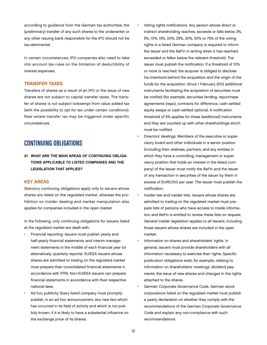according to guidance from the German tax authorities, the (preliminary) transfer of any such shares to the underwriter or any other issuing bank responsible for the IPO should not be tax-detrimental.

In certain circumstances, IPO companies also need to take into account tax rules on the limitation of deductibility of interest expenses.

#### Transfer taxes

Transfers of shares as a result of an IPO or the issue of new shares are not subject to capital transfer taxes. The transfer of shares is not subject to/exempt from value added tax (with the possibility to opt for tax under certain conditions). Real estate transfer tax may be triggered under specific circumstances.

# Continuing Obligations

21. What are the main areas of continuing obligations applicable to listed companies and the legislation that applies?

#### Key areas

Statutory continuing obligations apply only to issuers whose shares are listed on the regulated market, whereas the prohibition on insider dealing and market manipulation also applies for companies included in the open market.

In the following, only continuing obligations for issuers listed at the regulated market are dealt with:

- Financial reporting. Issuers must publish yearly and half-yearly financial statements, and interim management statements in the middle of each financial year (or alternatively, quarterly reports). EU/EEA issuers whose shares are admitted to trading on the regulated market must prepare their consolidated financial statements in accordance with IFRS. Non-EU/EEA issuers can prepare financial statements in accordance with their respective national laws.
- Ad hoc publicity. Every listed company must promptly publish, in an ad hoc announcement, any new fact which has occurred in its field of activity and which is not publicly known, if it is likely to have a substantial influence on the exchange price of its shares.
- Voting rights notifications. Any person whose direct or indirect shareholding reaches, exceeds or falls below 3%, 5%, 10%, 15%, 20%, 25%, 30%, 50% or 75% of the voting rights in a listed German company is required to inform the issuer and the BaFin in writing when it has reached, exceeded or fallen below the relevant threshold. The issuer must publish the notification. If a threshold of 10% or more is reached, the acquirer is obliged to disclose his intentions behind the acquisition and the origin of the funds for the acquisition. Since 1 February 2012 additional instruments facilitating the acquisition of securities must be notified (for example, securities lending, repurchase agreements (repo), contracts for difference, cash settled equity swaps or cash settled options). A notification threshold of 5% applies for these (additional) instruments and they are counted up with other shareholdings which must be notified.
- Directors' dealings. Members of the executive or supervisory board and other individuals in a senior position (including their relatives, partners, and any entities in which they have a controlling, management or supervisory position that holds an interest in the listed company) of the issuer must notify the BaFin and the issuer of any transaction in securities of the issuer by them in excess of EUR5,000 per year. The issuer must publish the notification.
- Insider law and insider lists. Issuers whose shares are admitted to trading on the regulated market must prepare lists of persons who have access to inside information and BaFin is entitled to review these lists on request. General insider legislation applies to all issuers, including those issuers whose shares are included in the open market.
- Information on shares and shareholders' rights. In general, issuers must provide shareholders with all information necessary to exercise their rights. Specific publication obligations exist, for example, relating to information on shareholders' meetings, dividend payments, the issue of new shares and changes in the rights attached to the shares.
- German Corporate Governance Code. German stock corporations listed on the regulated market must publish a yearly declaration on whether they comply with the recommendations of the German Corporate Governance Code and explain any non-compliance with such recommendations.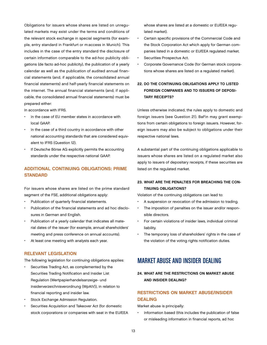Obligations for issuers whose shares are listed on unregulated markets may exist under the terms and conditions of the relevant stock exchange in special segments (for example, entry standard in Frankfurt or m:access in Munich). This includes in the case of the entry standard the disclosure of certain information comparable to the ad-hoc publicity obligations (de facto ad-hoc publicity), the publication of a yearly calendar as well as the publication of audited annual financial statements (and, if applicable, the consolidated annual financial statements) and half-yearly financial statements on the internet. The annual financial statements (and, if applicable, the consolidated annual financial statements) must be prepared either:

In accordance with IFRS.

- In the case of EU member states in accordance with local GAAP.
- In the case of a third country in accordance with other national accounting standards that are considered equivalent to IFRS (Question 12).
- If Deutsche Börse AG explicitly permits the accounting standards under the respective national GAAP.

# Additional continuing obligations: prime **STANDARD**

For issuers whose shares are listed on the prime standard segment of the FSE, additional obligations apply:

- Publication of quarterly financial statements.
- Publication of the financial statements and ad hoc disclosures in German and English.
- Publication of a yearly calendar that indicates all material dates of the issuer (for example, annual shareholders' meeting and press conference on annual accounts).
- At least one meeting with analysts each year.

#### Relevant legislation

The following legislation for continuing obligations applies:

- Securities Trading Act, as complemented by the Securities Trading Notification and Insider List Regulation (Wertpapierhandelsanzeige- und Insiderverzeichnisverordnung (WpAIV)), in relation to financial reporting and insider law.
- Stock Exchange Admission Regulation.
- Securities Acquisition and Takeover Act (for domestic stock corporations or companies with seat in the EU/EEA

whose shares are listed at a domestic or EU/EEA regulated market).

- Certain specific provisions of the Commercial Code and the Stock Corporation Act which apply for German companies listed in a domestic or EU/EEA regulated market.
- Securities Prospectus Act.
- Corporate Governance Code (for German stock corporations whose shares are listed on a regulated market).

### 22. Do the continuing obligations apply to listed foreign companies and to issuers of depositary receipts?

Unless otherwise indicated, the rules apply to domestic and foreign issuers (see Question 21). BaFin may grant exemptions from certain obligations to foreign issuers. However, foreign issuers may also be subject to obligations under their respective national laws.

A substantial part of the continuing obligations applicable to issuers whose shares are listed on a regulated market also apply to issuers of depositary receipts, if these securities are listed on the regulated market.

### 23. What are the penalties for breaching the continuing obligations?

Violation of the continuing obligations can lead to:

- A suspension or revocation of the admission to trading.
- The imposition of penalties on the issuer and/or responsible directors.
- For certain violations of insider laws, individual criminal liability.
- The temporary loss of shareholders' rights in the case of the violation of the voting rights notification duties.

# Market Abuse and Insider Dealing

24. What are the restrictions on market abuse and insider dealing?

### Restrictions on market abuse/insider **DEALING**

Market abuse is principally:

• Information based (this includes the publication of false or misleading information in financial reports, ad hoc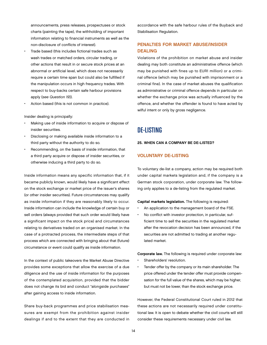announcements, press releases, prospectuses or stock charts (painting the tape), the withholding of important information relating to financial instruments as well as the non-disclosure of conflicts of interest).

- Trade based (this includes fictional trades such as wash trades or matched orders, circular trading, or other actions that result in or secure stock prices at an abnormal or artificial level, which does not necessarily require a certain time span but could also be fulfilled if the manipulation occurs in high frequency trades. With respect to buy-backs certain safe harbour provisions apply (see Question 19)).
- Action based (this is not common in practice).

Insider dealing is principally:

- Making use of inside information to acquire or dispose of insider securities.
- Disclosing or making available inside information to a third party without the authority to do so.
- Recommending, on the basis of inside information, that a third party acquire or dispose of insider securities, or otherwise inducing a third party to do so.

Inside information means any specific information that, if it became publicly known, would likely have a significant effect on the stock exchange or market price of the issuer's shares (or other insider securities). Future circumstances may qualify as inside information if they are reasonably likely to occur. Inside information can include the knowledge of certain buy or sell orders (always provided that such order would likely have a significant impact on the stock price) and circumstances relating to derivatives traded on an organised market. In the case of a protracted process, the intermediate steps of that process which are connected with bringing about that (future) circumstance or event could qualify as inside information.

In the context of public takeovers the Market Abuse Directive provides some exceptions that allow the exercise of a due diligence and the use of inside information for the purposes of the contemplated acquisition, provided that the bidder does not change its bid and conduct "alongside purchases" after gaining access to inside information.

Share buy-back programmes and price stabilisation measures are exempt from the prohibition against insider dealings if and to the extent that they are conducted in

accordance with the safe harbour rules of the Buyback and Stabilisation Regulation.

### Penalties for market abuse/insider **DEALING**

Violations of the prohibition on market abuse and insider dealing may both constitute an administrative offence (which may be punished with fines up to EUR1 million) or a criminal offence (which may be punished with imprisonment or a criminal fine). In the case of market abuses the qualification as administrative or criminal offence depends in particular on whether the exchange price was actually influenced by the offence, and whether the offender is found to have acted by wilful intent or only by gross negligence.

De-Listing

25. When can a company be de-listed?

#### Voluntary de-listing

To voluntary de-list a company, action may be required both under capital markets legislation and, if the company is a German stock corporation, under corporate law. The following only applies to a de-listing from the regulated market.

Capital markets legislation. The following is required:

- An application to the management board of the FSE.
- No conflict with investor protection, in particular, sufficient time to sell the securities in the regulated market after the revocation decision has been announced, if the securities are not admitted to trading at another regulated market.

Corporate law. The following is required under corporate law:

- Shareholders' resolution.
- Tender offer by the company or its main shareholder. The price offered under the tender offer must provide compensation for the full value of the shares, which may be higher, but must not be lower, than the stock exchange price.

However, the Federal Constitutional Court ruled in 2012 that these actions are not necessarily required under constitutional law. It is open to debate whether the civil courts will still consider these requirements necessary under civil law.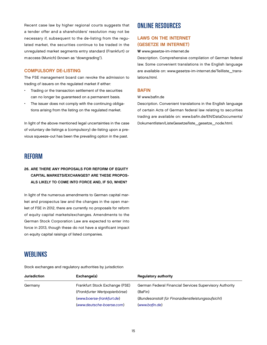Recent case law by higher regional courts suggests that a tender offer and a shareholders' resolution may not be necessary if, subsequent to the de-listing from the regulated market, the securities continue to be traded in the unregulated market segments entry standard (Frankfurt) or m:access (Munich) (known as "downgrading").

#### Compulsory de-listing

The FSE management board can revoke the admission to trading of issuers on the regulated market if either:

- Trading or the transaction settlement of the securities can no longer be guaranteed on a permanent basis.
- The issuer does not comply with the continuing obligations arising from the listing on the regulated market.

In light of the above mentioned legal uncertainties in the case of voluntary de-listings a (compulsory) de-listing upon a previous squeeze-out has been the prevailing option in the past.

# Reform

### 26. Are there any proposals for reform of equity capital markets/exchanges? Are these proposals likely to come into force and, if so, when?

In light of the numerous amendments to German capital market and prospectus law and the changes in the open market of FSE in 2012, there are currently no proposals for reform of equity capital markets/exchanges. Amendments to the German Stock Corporation Law are expected to enter into force in 2013, though these do not have a significant impact on equity capital raisings of listed companies.

# **WEBLINKS**

Stock exchanges and regulatory authorities by jurisdiction

# Online Resources

### Laws on the Internet (Gesetze im Internet)

#### W www.gesetze-im-internet.de

Description. Comprehensive compilation of German federal law. Some convenient translations in the English language are available on: www.gesetze-im-internet.de/Teilliste\_translations.html.

#### **BAFIN**

#### W www.bafin.de

Description. Convenient translations in the English language of certain Acts of German federal law relating to securities trading are available on: www.bafin.de/EN/DataDocuments/ Dokumentlisten/ListeGesetze/liste\_gesetze\_node.html.

| <b>Jurisdiction</b> | Exchange(s)                    | <b>Regulatory authority</b>                             |
|---------------------|--------------------------------|---------------------------------------------------------|
| Germany             | Frankfurt Stock Exchange (FSE) | German Federal Financial Services Supervisory Authority |
|                     | (Frankfurter Wertpapierbörse)  | (BaFin)                                                 |
|                     | (www.boerse-frankfurt.de)      | (Bundesanstalt für Finanzdienstleistungsaufsicht)       |
|                     | (www.deutsche-boerse.com)      | (www.bafin.de)                                          |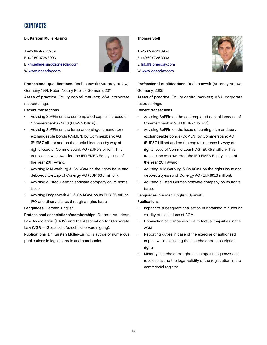# CONTACTS

#### Dr. Karsten Müller-Eising

T +49.69.9726.3939

F +49.69.9726.3993

E [kmuellereising@jonesday.com](mailto:kmuellereising@jonesday.com)

W [www.jonesday.com](http://www.jonesday.com)

Professional qualifications. Rechtsanwalt (Attorney-at-law), Germany, 1991; Notar (Notary Public), Germany, 2011

Areas of practice. Equity capital markets; M&A; corporate restructurings.

#### Recent transactions

- Advising SoFFin on the contemplated capital increase of Commerzbank in 2013 (EUR2.5 billion).
- Advising SoFFin on the issue of contingent mandatory exchangeable bonds (CoMEN) by Commerzbank AG (EUR5.7 billion) and on the capital increase by way of rights issue of Commerzbank AG (EUR5.3 billion). This transaction was awarded the IFR EMEA Equity Issue of the Year 2011 Award.
- Advising M.M.Warburg & Co KGaA on the rights issue and debt-equity-swap of Conergy AG (EUR183.3 million).
- Advising a listed German software company on its rights issue.
- Advising Drägerwerk AG & Co KGaA on its EUR105 million IPO of ordinary shares through a rights issue.

#### Languages. German, English.

Professional associations/memberships. German-American Law Association (DAJV) and the Association for Corporate Law (VGR — Gesellschaftsrechtliche Vereinigung).

Publications. Dr. Karsten Müller-Eising is author of numerous publications in legal journals and handbooks.

#### Thomas Stoll

T +49.69.9726.3954 F +49.69.9726.3993 E [tstoll@jonesday.com](mailto:tstoll@jonesday.com) W [www.jonesday.com](http://www.jonesday.com)



Professional qualifications. Rechtsanwalt (Attorney-at-law), Germany, 2005

Areas of practice. Equity capital markets; M&A; corporate restructurings.

#### Recent transactions

- Advising SoFFin on the contemplated capital increase of Commerzbank in 2013 (EUR2.5 billion).
- Advising SoFFin on the issue of contingent mandatory exchangeable bonds (CoMEN) by Commerzbank AG (EUR5.7 billion) and on the capital increase by way of rights issue of Commerzbank AG (EUR5.3 billion). This transaction was awarded the IFR EMEA Equity Issue of the Year 2011 Award.
- Advising M.M.Warburg & Co KGaA on the rights issue and debt-equity-swap of Conergy AG (EUR183.3 million).
- Advising a listed German software company on its rights issue.

#### Languages. German, English, Spanish.

#### Publications.

- Impact of subsequent finalisation of notarised minutes on validity of resolutions of AGM.
- Domination of companies due to factual majorities in the AGM.
- Reporting duties in case of the exercise of authorised capital while excluding the shareholders' subscription rights.
- Minority shareholders' right to sue against squeeze-out resolutions and the legal validity of the registration in the commercial register.